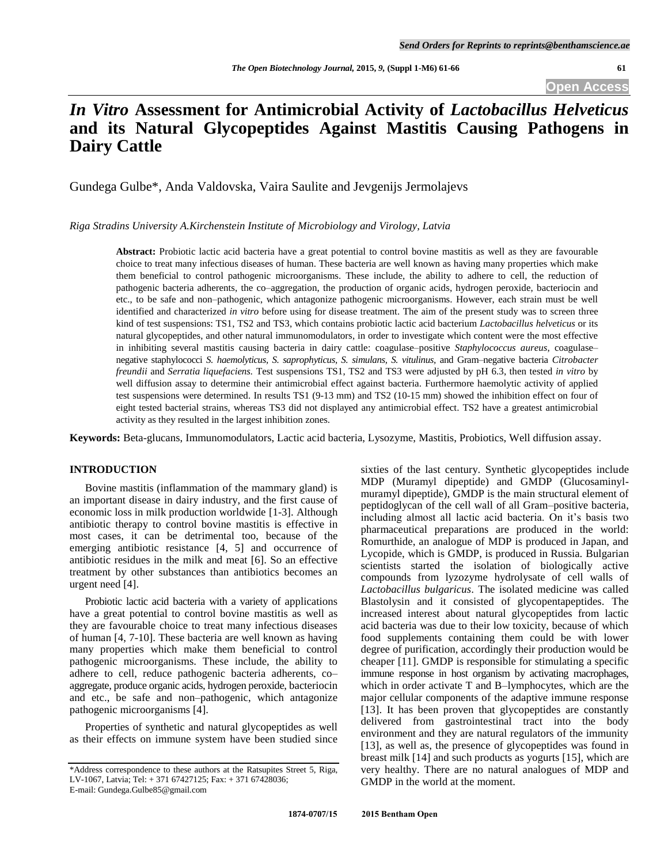# *In Vitro* **Assessment for Antimicrobial Activity of** *Lactobacillus Helveticus* **and its Natural Glycopeptides Against Mastitis Causing Pathogens in Dairy Cattle**

Gundega Gulbe\*, Anda Valdovska, Vaira Saulite and Jevgenijs Jermolajevs

*Riga Stradins University A.Kirchenstein Institute of Microbiology and Virology, Latvia*

**Abstract:** Probiotic lactic acid bacteria have a great potential to control bovine mastitis as well as they are favourable choice to treat many infectious diseases of human. These bacteria are well known as having many properties which make them beneficial to control pathogenic microorganisms. These include, the ability to adhere to cell, the reduction of pathogenic bacteria adherents, the co–aggregation, the production of organic acids, hydrogen peroxide, bacteriocin and etc., to be safe and non–pathogenic, which antagonize pathogenic microorganisms. However, each strain must be well identified and characterized *in vitro* before using for disease treatment. The aim of the present study was to screen three kind of test suspensions: TS1, TS2 and TS3, which contains probiotic lactic acid bacterium *Lactobacillus helveticus* or its natural glycopeptides, and other natural immunomodulators, in order to investigate which content were the most effective in inhibiting several mastitis causing bacteria in dairy cattle: coagulase–positive *Staphylococcus aureus*, coagulase– negative staphylococci *S. haemolyticus, S. saprophyticus, S. simulans, S. vitulinus,* and Gram–negative bacteria *Citrobacter freundii* and *Serratia liquefaciens.* Test suspensions TS1, TS2 and TS3 were adjusted by pH 6.3, then tested *in vitro* by well diffusion assay to determine their antimicrobial effect against bacteria. Furthermore haemolytic activity of applied test suspensions were determined. In results TS1 (9-13 mm) and TS2 (10-15 mm) showed the inhibition effect on four of eight tested bacterial strains, whereas TS3 did not displayed any antimicrobial effect. TS2 have a greatest antimicrobial activity as they resulted in the largest inhibition zones.

**Keywords:** Beta-glucans, Immunomodulators, Lactic acid bacteria, Lysozyme, Mastitis, Probiotics, Well diffusion assay.

## **INTRODUCTION**

Bovine mastitis (inflammation of the mammary gland) is an important disease in dairy industry, and the first cause of economic loss in milk production worldwide [1-3]. Although antibiotic therapy to control bovine mastitis is effective in most cases, it can be detrimental too, because of the emerging antibiotic resistance [4, 5] and occurrence of antibiotic residues in the milk and meat [6]. So an effective treatment by other substances than antibiotics becomes an urgent need [4].

Probiotic lactic acid bacteria with a variety of applications have a great potential to control bovine mastitis as well as they are favourable choice to treat many infectious diseases of human [4, 7-10]. These bacteria are well known as having many properties which make them beneficial to control pathogenic microorganisms. These include, the ability to adhere to cell, reduce pathogenic bacteria adherents, co– aggregate, produce organic acids, hydrogen peroxide, bacteriocin and etc., be safe and non–pathogenic, which antagonize pathogenic microorganisms [4].

Properties of synthetic and natural glycopeptides as well as their effects on immune system have been studied since sixties of the last century. Synthetic glycopeptides include MDP (Muramyl dipeptide) and GMDP (Glucosaminylmuramyl dipeptide), GMDP is the main structural element of peptidoglycan of the cell wall of all Gram–positive bacteria, including almost all lactic acid bacteria. On it's basis two pharmaceutical preparations are produced in the world: Romurthide, an analogue of MDP is produced in Japan, and Lycopide, which is GMDP, is produced in Russia. Bulgarian scientists started the isolation of biologically active compounds from lyzozyme hydrolysate of cell walls of *Lactobacillus bulgaricus*. The isolated medicine was called Blastolysin and it consisted of glycopentapeptides. The increased interest about natural glycopeptides from lactic acid bacteria was due to their low toxicity, because of which food supplements containing them could be with lower degree of purification, accordingly their production would be cheaper [11]. GMDP is responsible for stimulating a specific immune response in host organism by activating macrophages, which in order activate T and B–lymphocytes, which are the major cellular components of the adaptive immune response [13]. It has been proven that glycopeptides are constantly delivered from gastrointestinal tract into the body environment and they are natural regulators of the immunity [13], as well as, the presence of glycopeptides was found in breast milk [14] and such products as yogurts [15], which are very healthy. There are no natural analogues of MDP and GMDP in the world at the moment.

<sup>\*</sup>Address correspondence to these authors at the Ratsupites Street 5, Riga, LV-1067, Latvia; Tel: + 371 67427125; Fax: + 371 67428036; E-mail: Gundega.Gulbe85@gmail.com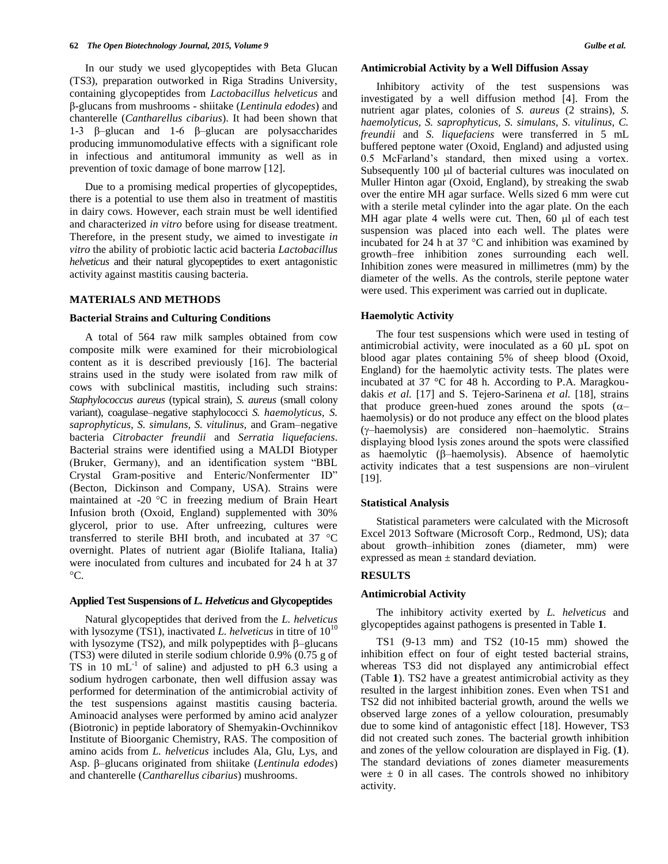In our study we used glycopeptides with Beta Glucan (TS3), preparation outworked in Riga Stradins University, containing glycopeptides from *Lactobacillus helveticus* and β-glucans from mushrooms - shiitake (*Lentinula edodes*) and chanterelle (*Cantharellus cibarius*). It had been shown that 1-3 β–glucan and 1-6 β–glucan are polysaccharides producing immunomodulative effects with a significant role in infectious and antitumoral immunity as well as in prevention of toxic damage of bone marrow [12].

Due to a promising medical properties of glycopeptides, there is a potential to use them also in treatment of mastitis in dairy cows. However, each strain must be well identified and characterized *in vitro* before using for disease treatment. Therefore, in the present study, we aimed to investigate *in vitro* the ability of probiotic lactic acid bacteria *Lactobacillus helveticus* and their natural glycopeptides to exert antagonistic activity against mastitis causing bacteria.

# **MATERIALS AND METHODS**

## **Bacterial Strains and Culturing Conditions**

A total of 564 raw milk samples obtained from cow composite milk were examined for their microbiological content as it is described previously [16]. The bacterial strains used in the study were isolated from raw milk of cows with subclinical mastitis, including such strains: *Staphylococcus aureus* (typical strain)*, S. aureus* (small colony variant), coagulase–negative staphylococci *S. haemolyticus, S. saprophyticus, S. simulans, S. vitulinus,* and Gram–negative bacteria *Citrobacter freundii* and *Serratia liquefaciens*. Bacterial strains were identified using a MALDI Biotyper (Bruker, Germany), and an identification system "BBL Crystal Gram-positive and Enteric/Nonfermenter ID" (Becton, Dickinson and Company, USA). Strains were maintained at -20 $\degree$ C in freezing medium of Brain Heart Infusion broth (Oxoid, England) supplemented with 30% glycerol, prior to use. After unfreezing, cultures were transferred to sterile BHI broth, and incubated at  $37 \text{ °C}$ overnight. Plates of nutrient agar (Biolife Italiana, Italia) were inoculated from cultures and incubated for 24 h at 37  $\rm{^{\circ}C}.$ 

## **Applied Test Suspensions of** *L. Helveticus* **and Glycopeptides**

Natural glycopeptides that derived from the *L. helveticus* with lysozyme (TS1), inactivated *L. helveticus* in titre of  $10^{10}$ with lysozyme (TS2), and milk polypeptides with  $\beta$ -glucans (TS3) were diluted in sterile sodium chloride 0.9% (0.75 g of TS in 10 mL<sup>-1</sup> of saline) and adjusted to pH 6.3 using a sodium hydrogen carbonate, then well diffusion assay was performed for determination of the antimicrobial activity of the test suspensions against mastitis causing bacteria. Aminoacid analyses were performed by amino acid analyzer (Biotronic) in peptide laboratory of Shemyakin-Ovchinnikov Institute of Bioorganic Chemistry, RAS. The composition of amino acids from *L. helveticus* includes Ala, Glu, Lys, and Asp. β–glucans originated from shiitake (*Lentinula edodes*) and chanterelle (*Cantharellus cibarius*) mushrooms.

# **Antimicrobial Activity by a Well Diffusion Assay**

Inhibitory activity of the test suspensions was investigated by a well diffusion method [4]. From the nutrient agar plates, colonies of *S. aureus* (2 strains), *S. haemolyticus, S. saprophyticus, S. simulans, S. vitulinus, C. freundii* and *S. liquefaciens* were transferred in 5 mL buffered peptone water (Oxoid, England) and adjusted using 0.5 McFarland's standard, then mixed using a vortex. Subsequently 100 µl of bacterial cultures was inoculated on Muller Hinton agar (Oxoid, England), by streaking the swab over the entire MH agar surface. Wells sized 6 mm were cut with a sterile metal cylinder into the agar plate. On the each MH agar plate 4 wells were cut. Then,  $60 \mu l$  of each test suspension was placed into each well. The plates were incubated for 24 h at 37  $\degree$ C and inhibition was examined by growth–free inhibition zones surrounding each well. Inhibition zones were measured in millimetres (mm) by the diameter of the wells. As the controls, sterile peptone water were used. This experiment was carried out in duplicate.

#### **Haemolytic Activity**

The four test suspensions which were used in testing of antimicrobial activity, were inoculated as a 60 µL spot on blood agar plates containing 5% of sheep blood (Oxoid, England) for the haemolytic activity tests. The plates were incubated at 37 °C for 48 h. According to P.A. Maragkoudakis *et al.* [17] and S. Tejero-Sarinena *et al.* [18], strains that produce green-hued zones around the spots  $(\alpha$ haemolysis) or do not produce any effect on the blood plates (–haemolysis) are considered non–haemolytic. Strains displaying blood lysis zones around the spots were classified as haemolytic  $(\beta$ -haemolysis). Absence of haemolytic activity indicates that a test suspensions are non–virulent [19].

# **Statistical Analysis**

Statistical parameters were calculated with the Microsoft Excel 2013 Software (Microsoft Corp., Redmond, US); data about growth–inhibition zones (diameter, mm) were expressed as mean ± standard deviation.

# **RESULTS**

# **Antimicrobial Activity**

The inhibitory activity exerted by *L. helveticus* and glycopeptides against pathogens is presented in Table **1**.

TS1 (9-13 mm) and TS2 (10-15 mm) showed the inhibition effect on four of eight tested bacterial strains, whereas TS3 did not displayed any antimicrobial effect (Table **1**). TS2 have a greatest antimicrobial activity as they resulted in the largest inhibition zones. Even when TS1 and TS2 did not inhibited bacterial growth, around the wells we observed large zones of a yellow colouration, presumably due to some kind of antagonistic effect [18]. However, TS3 did not created such zones. The bacterial growth inhibition and zones of the yellow colouration are displayed in Fig. (**1**). The standard deviations of zones diameter measurements were  $\pm$  0 in all cases. The controls showed no inhibitory activity.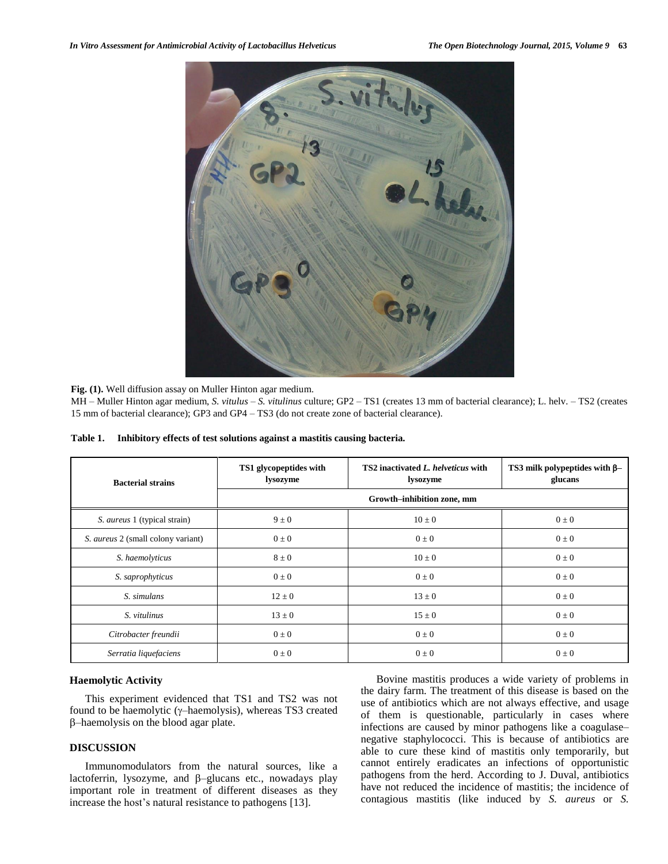

**Fig. (1).** Well diffusion assay on Muller Hinton agar medium.

MH – Muller Hinton agar medium, *S. vitulus – S. vitulinus* culture; GP2 – TS1 (creates 13 mm of bacterial clearance); L. helv. – TS2 (creates 15 mm of bacterial clearance); GP3 and GP4 – TS3 (do not create zone of bacterial clearance).

| Table 1. |  |  | Inhibitory effects of test solutions against a mastitis causing bacteria. |  |
|----------|--|--|---------------------------------------------------------------------------|--|
|          |  |  |                                                                           |  |

| <b>Bacterial strains</b>            | TS1 glycopeptides with<br>lysozyme | TS2 inactivated L. helveticus with<br>lysozyme | TS3 milk polypeptides with $\beta$ -<br>glucans |  |  |  |
|-------------------------------------|------------------------------------|------------------------------------------------|-------------------------------------------------|--|--|--|
|                                     | Growth-inhibition zone, mm         |                                                |                                                 |  |  |  |
| S. <i>aureus</i> 1 (typical strain) | $9 \pm 0$                          | $10 \pm 0$                                     | $0\pm 0$                                        |  |  |  |
| S. aureus 2 (small colony variant)  | $0\pm 0$                           | $0 \pm 0$                                      | $0\pm 0$                                        |  |  |  |
| S. haemolyticus                     | $8 \pm 0$                          | $10 \pm 0$                                     | $0\pm 0$                                        |  |  |  |
| S. saprophyticus                    | $0\pm 0$                           | $0 \pm 0$                                      | $0\pm 0$                                        |  |  |  |
| S. simulans                         | $12 \pm 0$                         | $13 \pm 0$                                     | $0\pm 0$                                        |  |  |  |
| S. vitulinus                        | $13 \pm 0$                         | $15 \pm 0$                                     | $0\pm 0$                                        |  |  |  |
| Citrobacter freundii                | $0\pm 0$                           |                                                | $0\pm 0$                                        |  |  |  |
| Serratia liquefaciens               | $0\pm 0$                           | $0 \pm 0$                                      | $0\pm 0$                                        |  |  |  |

# **Haemolytic Activity**

This experiment evidenced that TS1 and TS2 was not found to be haemolytic ( $\gamma$ -haemolysis), whereas TS3 created  $\beta$ –haemolysis on the blood agar plate.

# **DISCUSSION**

Immunomodulators from the natural sources, like a lactoferrin, lysozyme, and  $\beta$ -glucans etc., nowadays play important role in treatment of different diseases as they increase the host's natural resistance to pathogens [13].

Bovine mastitis produces a wide variety of problems in the dairy farm. The treatment of this disease is based on the use of antibiotics which are not always effective, and usage of them is questionable, particularly in cases where infections are caused by minor pathogens like a coagulase– negative staphylococci. This is because of antibiotics are able to cure these kind of mastitis only temporarily, but cannot entirely eradicates an infections of opportunistic pathogens from the herd. According to J. Duval, antibiotics have not reduced the incidence of mastitis; the incidence of contagious mastitis (like induced by *S. aureus* or *S.*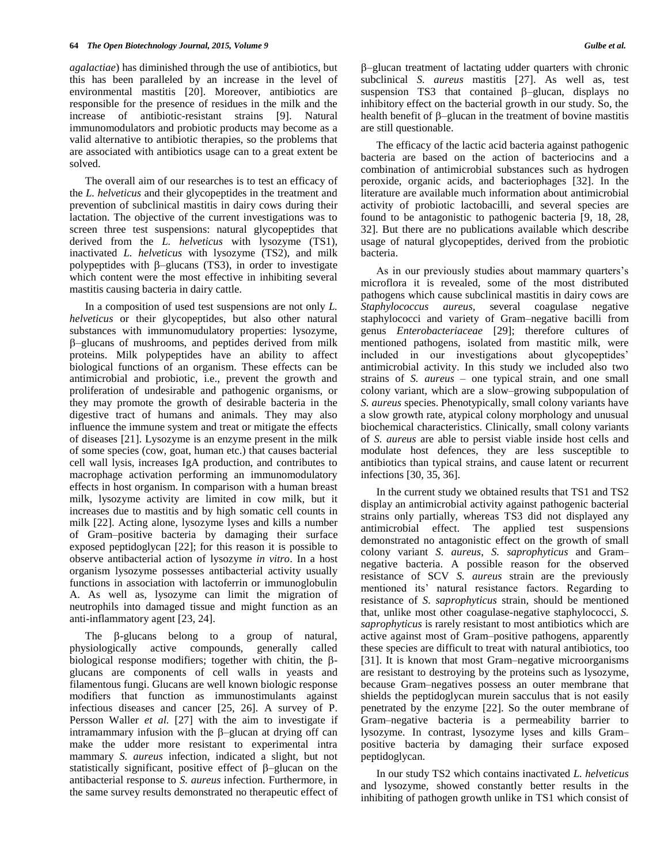*agalactiae*) has diminished through the use of antibiotics, but this has been paralleled by an increase in the level of environmental mastitis [20]. Moreover, antibiotics are responsible for the presence of residues in the milk and the increase of antibiotic-resistant strains [9]. Natural immunomodulators and probiotic products may become as a valid alternative to antibiotic therapies, so the problems that are associated with antibiotics usage can to a great extent be solved.

The overall aim of our researches is to test an efficacy of the *L. helveticus* and their glycopeptides in the treatment and prevention of subclinical mastitis in dairy cows during their lactation. The objective of the current investigations was to screen three test suspensions: natural glycopeptides that derived from the *L. helveticus* with lysozyme (TS1), inactivated *L. helveticus* with lysozyme (TS2), and milk polypeptides with  $\beta$ -glucans (TS3), in order to investigate which content were the most effective in inhibiting several mastitis causing bacteria in dairy cattle.

In a composition of used test suspensions are not only *L. helveticus* or their glycopeptides, but also other natural substances with immunomudulatory properties: lysozyme,  $\beta$ –glucans of mushrooms, and peptides derived from milk proteins. Milk polypeptides have an ability to affect biological functions of an organism. These effects can be antimicrobial and probiotic, i.e., prevent the growth and proliferation of undesirable and pathogenic organisms, or they may promote the growth of desirable bacteria in the digestive tract of humans and animals. They may also influence the immune system and treat or mitigate the effects of diseases [21]. Lysozyme is an enzyme present in the milk of some species (cow, goat, human etc.) that causes bacterial cell wall lysis, increases IgA production, and contributes to macrophage activation performing an immunomodulatory effects in host organism. In comparison with a human breast milk, lysozyme activity are limited in cow milk, but it increases due to mastitis and by high somatic cell counts in milk [22]. Acting alone, lysozyme lyses and kills a number of Gram–positive bacteria by damaging their surface exposed peptidoglycan [22]; for this reason it is possible to observe antibacterial action of lysozyme *in vitro*. In a host organism lysozyme possesses antibacterial activity usually functions in association with lactoferrin or immunoglobulin A. As well as, lysozyme can limit the migration of neutrophils into damaged tissue and might function as an anti-inflammatory agent [23, 24].

The  $\beta$ -glucans belong to a group of natural, physiologically active compounds, generally called biological response modifiers; together with chitin, the  $\beta$ glucans are components of cell walls in yeasts and filamentous fungi. Glucans are well known biologic response modifiers that function as immunostimulants against infectious diseases and cancer [25, 26]. A survey of P. Persson Waller *et al.* [27] with the aim to investigate if intramammary infusion with the  $\beta$ -glucan at drying off can make the udder more resistant to experimental intra mammary *S. aureus* infection, indicated a slight, but not statistically significant, positive effect of  $\beta$ -glucan on the antibacterial response to *S. aureus* infection. Furthermore, in the same survey results demonstrated no therapeutic effect of

–glucan treatment of lactating udder quarters with chronic subclinical *S. aureus* mastitis [27]. As well as, test suspension TS3 that contained  $\beta$ -glucan, displays no inhibitory effect on the bacterial growth in our study. So, the health benefit of  $\beta$ -glucan in the treatment of bovine mastitis are still questionable.

The efficacy of the lactic acid bacteria against pathogenic bacteria are based on the action of bacteriocins and a combination of antimicrobial substances such as hydrogen peroxide, organic acids, and bacteriophages [32]. In the literature are available much information about antimicrobial activity of probiotic lactobacilli, and several species are found to be antagonistic to pathogenic bacteria [9, 18, 28, 32]. But there are no publications available which describe usage of natural glycopeptides, derived from the probiotic bacteria.

As in our previously studies about mammary quarters's microflora it is revealed, some of the most distributed pathogens which cause subclinical mastitis in dairy cows are *Staphylococcus aureus,* several coagulase negative staphylococci and variety of Gram–negative bacilli from genus *Enterobacteriaceae* [29]; therefore cultures of mentioned pathogens, isolated from mastitic milk, were included in our investigations about glycopeptides' antimicrobial activity. In this study we included also two strains of *S. aureus* – one typical strain, and one small colony variant, which are a slow–growing subpopulation of *S. aureus* species. Phenotypically, small colony variants have a slow growth rate, atypical colony morphology and unusual biochemical characteristics. Clinically, small colony variants of *S. aureus* are able to persist viable inside host cells and modulate host defences, they are less susceptible to antibiotics than typical strains, and cause latent or recurrent infections [30, 35, 36].

In the current study we obtained results that TS1 and TS2 display an antimicrobial activity against pathogenic bacterial strains only partially, whereas TS3 did not displayed any antimicrobial effect. The applied test suspensions demonstrated no antagonistic effect on the growth of small colony variant *S. aureus*, *S. saprophyticus* and Gram– negative bacteria. A possible reason for the observed resistance of SCV *S. aureus* strain are the previously mentioned its' natural resistance factors. Regarding to resistance of *S. saprophyticus* strain, should be mentioned that, unlike most other coagulase-negative staphylococci, *S. saprophyticus* is rarely resistant to most antibiotics which are active against most of Gram–positive pathogens, apparently these species are difficult to treat with natural antibiotics, too [31]. It is known that most Gram–negative microorganisms are resistant to destroying by the proteins such as lysozyme, because Gram–negatives possess an outer membrane that shields the peptidoglycan murein sacculus that is not easily penetrated by the enzyme [22]. So the outer membrane of Gram–negative bacteria is a permeability barrier to lysozyme. In contrast, lysozyme lyses and kills Gram– positive bacteria by damaging their surface exposed peptidoglycan.

In our study TS2 which contains inactivated *L. helveticus* and lysozyme, showed constantly better results in the inhibiting of pathogen growth unlike in TS1 which consist of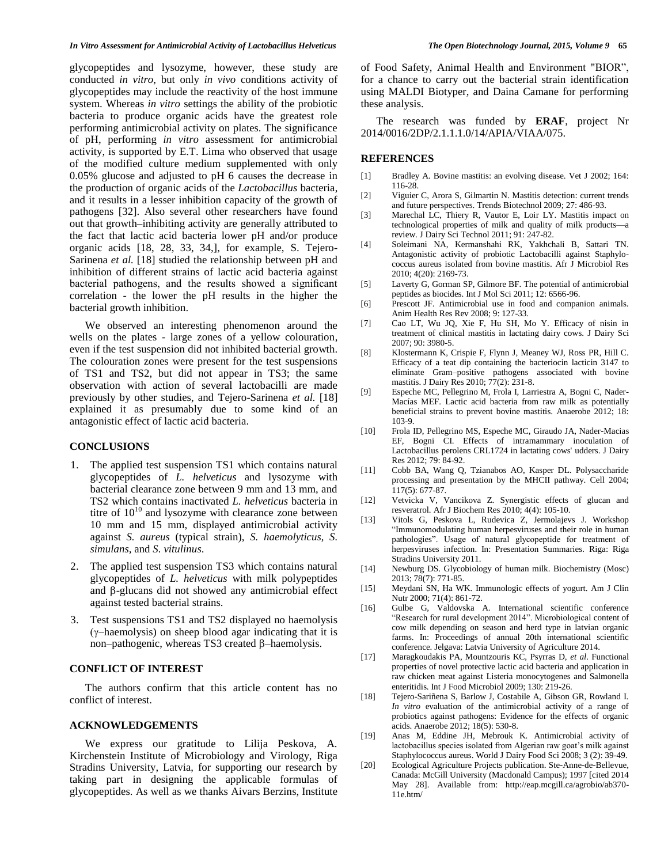#### *In Vitro Assessment for Antimicrobial Activity of Lactobacillus Helveticus The Open Biotechnology Journal, 2015, Volume 9* **65**

glycopeptides and lysozyme, however, these study are conducted *in vitro*, but only *in vivo* conditions activity of glycopeptides may include the reactivity of the host immune system. Whereas *in vitro* settings the ability of the probiotic bacteria to produce organic acids have the greatest role performing antimicrobial activity on plates. The significance of pH, performing *in vitro* assessment for antimicrobial activity, is supported by E.T. Lima who observed that usage of the modified culture medium supplemented with only 0.05% glucose and adjusted to pH 6 causes the decrease in the production of organic acids of the *Lactobacillus* bacteria, and it results in a lesser inhibition capacity of the growth of pathogens [32]. Also several other researchers have found out that growth–inhibiting activity are generally attributed to the fact that lactic acid bacteria lower pH and/or produce organic acids [18, 28, 33, 34,], for example, S. Tejero-Sarinena *et al.* [18] studied the relationship between pH and inhibition of different strains of lactic acid bacteria against bacterial pathogens, and the results showed a significant correlation - the lower the pH results in the higher the bacterial growth inhibition.

We observed an interesting phenomenon around the wells on the plates - large zones of a yellow colouration, even if the test suspension did not inhibited bacterial growth. The colouration zones were present for the test suspensions of TS1 and TS2, but did not appear in TS3; the same observation with action of several lactobacilli are made previously by other studies, and Tejero-Sarinena *et al.* [18] explained it as presumably due to some kind of an antagonistic effect of lactic acid bacteria.

#### **CONCLUSIONS**

- 1. The applied test suspension TS1 which contains natural glycopeptides of *L. helveticus* and lysozyme with bacterial clearance zone between 9 mm and 13 mm, and TS2 which contains inactivated *L. helveticus* bacteria in titre of  $10^{10}$  and lysozyme with clearance zone between 10 mm and 15 mm, displayed antimicrobial activity against *S. aureus* (typical strain), *S. haemolyticus, S. simulans,* and *S. vitulinus*.
- 2. The applied test suspension TS3 which contains natural glycopeptides of *L. helveticus* with milk polypeptides and  $\beta$ -glucans did not showed any antimicrobial effect against tested bacterial strains.
- 3. Test suspensions TS1 and TS2 displayed no haemolysis (γ–haemolysis) on sheep blood agar indicating that it is non–pathogenic, whereas TS3 created  $\beta$ –haemolysis.

# **CONFLICT OF INTEREST**

The authors confirm that this article content has no conflict of interest.

# **ACKNOWLEDGEMENTS**

We express our gratitude to Lilija Peskova, A. Kirchenstein Institute of Microbiology and Virology, Riga Stradins University, Latvia, for supporting our research by taking part in designing the applicable formulas of glycopeptides. As well as we thanks Aivars Berzins, Institute

of Food Safety, Animal Health and Environment "BIOR", for a chance to carry out the bacterial strain identification using MALDI Biotyper, and Daina Camane for performing these analysis.

The research was funded by **ERAF**, project Nr 2014/0016/2DP/2.1.1.1.0/14/APIA/VIAA/075.

## **REFERENCES**

- [1] Bradley A. Bovine mastitis: an evolving disease. Vet J 2002; 164: 116-28.
- [2] Viguier C, Arora S, Gilmartin N. Mastitis detection: current trends and future perspectives. Trends Biotechnol 2009; 27: 486-93.
- [3] Marechal LC, Thiery R, Vautor E, Loir LY. Mastitis impact on technological properties of milk and quality of milk products—a review. J Dairy Sci Technol 2011; 91: 247-82.
- [4] Soleimani NA, Kermanshahi RK, Yakhchali B, Sattari TN. Antagonistic activity of probiotic Lactobacilli against Staphylococcus aureus isolated from bovine mastitis. Afr J Microbiol Res 2010; 4(20): 2169-73.
- [5] Laverty G, Gorman SP, Gilmore BF. The potential of antimicrobial peptides as biocides. Int J Mol Sci 2011; 12: 6566-96.
- [6] Prescott JF. Antimicrobial use in food and companion animals. Anim Health Res Rev 2008; 9: 127-33.
- [7] Cao LT, Wu JQ, Xie F, Hu SH, Mo Y. Efficacy of nisin in treatment of clinical mastitis in lactating dairy cows. J Dairy Sci 2007; 90: 3980-5.
- [8] Klostermann K, Crispie F, Flynn J, Meaney WJ, Ross PR, Hill C. Efficacy of a teat dip containing the bacteriocin lacticin 3147 to eliminate Gram–positive pathogens associated with bovine mastitis. J Dairy Res 2010; 77(2): 231-8.
- [9] Espeche MC, Pellegrino M, Frola I, Larriestra A, Bogni C, Nader-Macías MEF. Lactic acid bacteria from raw milk as potentially beneficial strains to prevent bovine mastitis. Anaerobe 2012; 18: 103-9.
- [10] Frola ID, Pellegrino MS, Espeche MC, Giraudo JA, Nader-Macias EF, Bogni CI. Effects of intramammary inoculation of Lactobacillus perolens CRL1724 in lactating cows' udders. J Dairy Res 2012; 79: 84-92.
- [11] Cobb BA, Wang Q, Tzianabos AO, Kasper DL. Polysaccharide processing and presentation by the MHCII pathway. Cell 2004; 117(5): 677-87.
- [12] Vetvicka V, Vancikova Z. Synergistic effects of glucan and resveratrol. Afr J Biochem Res 2010; 4(4): 105-10.
- [13] Vitols G, Peskova L, Rudevica Z, Jermolajevs J. Workshop "Immunomodulating human herpesviruses and their role in human pathologies". Usage of natural glycopeptide for treatment of herpesviruses infection. In: Presentation Summaries. Riga: Riga Stradins University 2011.
- [14] Newburg DS. Glycobiology of human milk. Biochemistry (Mosc) 2013; 78(7): 771-85.
- [15] Meydani SN, Ha WK. Immunologic effects of yogurt. Am J Clin Nutr 2000; 71(4): 861-72.
- [16] Gulbe G, Valdovska A. International scientific conference "Research for rural development 2014". Microbiological content of cow milk depending on season and herd type in latvian organic farms. In: Proceedings of annual 20th international scientific conference. Jelgava: Latvia University of Agriculture 2014.
- [17] Maragkoudakis PA, Mountzouris KC, Psyrras D, *et al.* Functional properties of novel protective lactic acid bacteria and application in raw chicken meat against Listeria monocytogenes and Salmonella enteritidis. Int J Food Microbiol 2009; 130: 219-26.
- [18] Tejero-Sariñena S, Barlow J, Costabile A, Gibson GR, Rowland I. *In vitro* evaluation of the antimicrobial activity of a range of probiotics against pathogens: Evidence for the effects of organic acids. Anaerobe 2012; 18(5): 530-8.
- [19] Anas M, Eddine JH, Mebrouk K. Antimicrobial activity of lactobacillus species isolated from Algerian raw goat's milk against Staphylococcus aureus. World J Dairy Food Sci 2008; 3 (2): 39-49.
- [20] Ecological Agriculture Projects publication. Ste-Anne-de-Bellevue, Canada: McGill University (Macdonald Campus); 1997 [cited 2014 May 28]. Available from: http://eap.mcgill.ca/agrobio/ab370- 11e.htm/